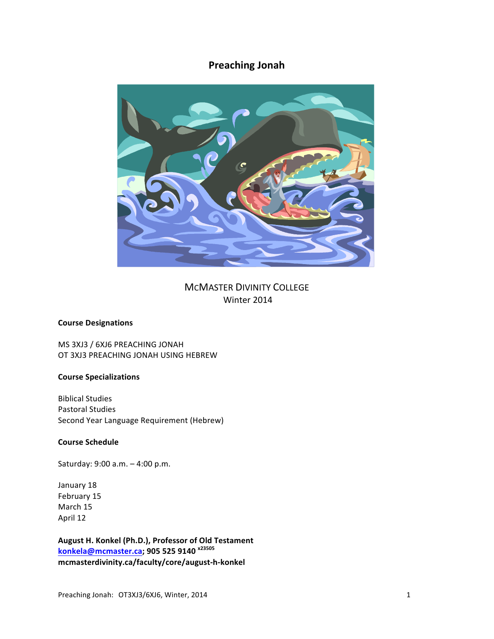# **Preaching Jonah**



**MCMASTER DIVINITY COLLEGE** Winter 2014

# **Course Designations**

MS 3XJ3 / 6XJ6 PREACHING JONAH OT 3XJ3 PREACHING JONAH USING HEBREW

# **Course Specializations**

**Biblical Studies** Pastoral Studies Second Year Language Requirement (Hebrew)

# **Course Schedule**

Saturday: 9:00 a.m. - 4:00 p.m.

January 18 February 15 March 15 April 12

**August H. Konkel (Ph.D.), Professor of Old Testament konkela@mcmaster.ca; 905 525 9140 x23505 mcmasterdivinity.ca/faculty/core/august-h-konkel**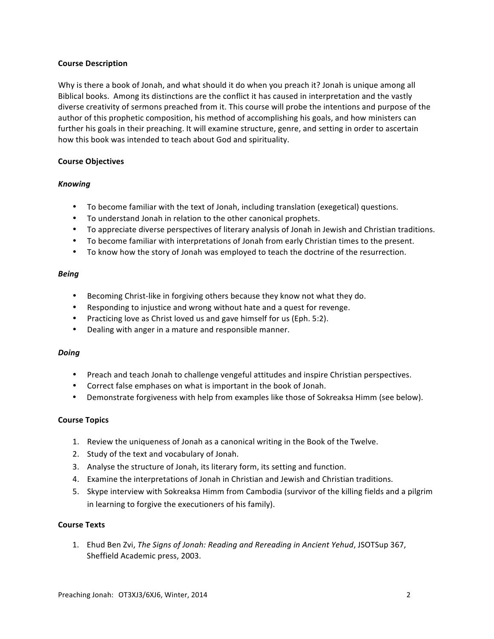#### **Course Description**

Why is there a book of Jonah, and what should it do when you preach it? Jonah is unique among all Biblical books. Among its distinctions are the conflict it has caused in interpretation and the vastly diverse creativity of sermons preached from it. This course will probe the intentions and purpose of the author of this prophetic composition, his method of accomplishing his goals, and how ministers can further his goals in their preaching. It will examine structure, genre, and setting in order to ascertain how this book was intended to teach about God and spirituality.

## **Course Objectives**

# *Knowing*

- To become familiar with the text of Jonah, including translation (exegetical) questions.
- To understand Jonah in relation to the other canonical prophets.
- To appreciate diverse perspectives of literary analysis of Jonah in Jewish and Christian traditions.
- To become familiar with interpretations of Jonah from early Christian times to the present.
- To know how the story of Jonah was employed to teach the doctrine of the resurrection.

## *Being*

- Becoming Christ-like in forgiving others because they know not what they do.
- Responding to injustice and wrong without hate and a quest for revenge.
- Practicing love as Christ loved us and gave himself for us (Eph. 5:2).
- Dealing with anger in a mature and responsible manner.

#### *Doing*

- Preach and teach Jonah to challenge vengeful attitudes and inspire Christian perspectives.
- Correct false emphases on what is important in the book of Jonah.
- Demonstrate forgiveness with help from examples like those of Sokreaksa Himm (see below).

# **Course Topics**

- 1. Review the uniqueness of Jonah as a canonical writing in the Book of the Twelve.
- 2. Study of the text and vocabulary of Jonah.
- 3. Analyse the structure of Jonah, its literary form, its setting and function.
- 4. Examine the interpretations of Jonah in Christian and Jewish and Christian traditions.
- 5. Skype interview with Sokreaksa Himm from Cambodia (survivor of the killing fields and a pilgrim in learning to forgive the executioners of his family).

# **Course Texts**

1. Ehud Ben Zvi, *The Signs of Jonah: Reading and Rereading in Ancient Yehud*, JSOTSup 367, Sheffield Academic press, 2003.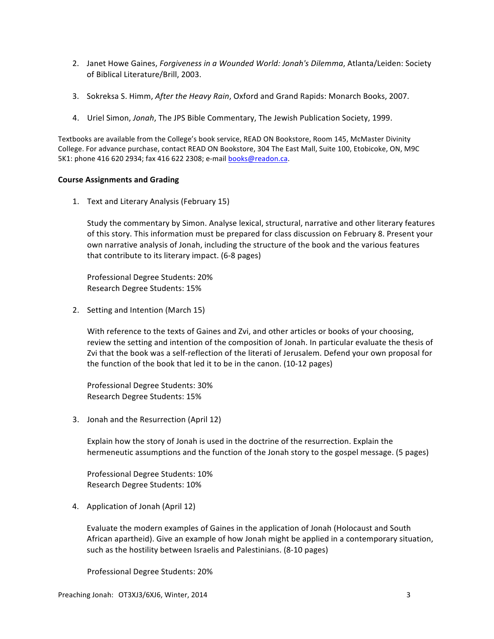- 2. Janet Howe Gaines, *Forgiveness in a Wounded World: Jonah's Dilemma*, Atlanta/Leiden: Society of Biblical Literature/Brill, 2003.
- 3. Sokreksa S. Himm, After the Heavy Rain, Oxford and Grand Rapids: Monarch Books, 2007.
- 4. Uriel Simon, *Jonah*, The JPS Bible Commentary, The Jewish Publication Society, 1999.

Textbooks are available from the College's book service, READ ON Bookstore, Room 145, McMaster Divinity College. For advance purchase, contact READ ON Bookstore, 304 The East Mall, Suite 100, Etobicoke, ON, M9C 5K1: phone 416 620 2934; fax 416 622 2308; e-mail books@readon.ca.

#### **Course Assignments and Grading**

1. Text and Literary Analysis (February 15)

Study the commentary by Simon. Analyse lexical, structural, narrative and other literary features of this story. This information must be prepared for class discussion on February 8. Present your own narrative analysis of Jonah, including the structure of the book and the various features that contribute to its literary impact. (6-8 pages)

Professional Degree Students: 20% Research Degree Students: 15%

2. Setting and Intention (March 15)

With reference to the texts of Gaines and Zvi, and other articles or books of your choosing, review the setting and intention of the composition of Jonah. In particular evaluate the thesis of Zvi that the book was a self-reflection of the literati of Jerusalem. Defend your own proposal for the function of the book that led it to be in the canon. (10-12 pages)

Professional Degree Students: 30% Research Degree Students: 15%

3. Jonah and the Resurrection (April 12)

Explain how the story of Jonah is used in the doctrine of the resurrection. Explain the hermeneutic assumptions and the function of the Jonah story to the gospel message. (5 pages)

Professional Degree Students: 10% Research Degree Students: 10%

4. Application of Jonah (April 12)

Evaluate the modern examples of Gaines in the application of Jonah (Holocaust and South African apartheid). Give an example of how Jonah might be applied in a contemporary situation, such as the hostility between Israelis and Palestinians. (8-10 pages)

Professional Degree Students: 20%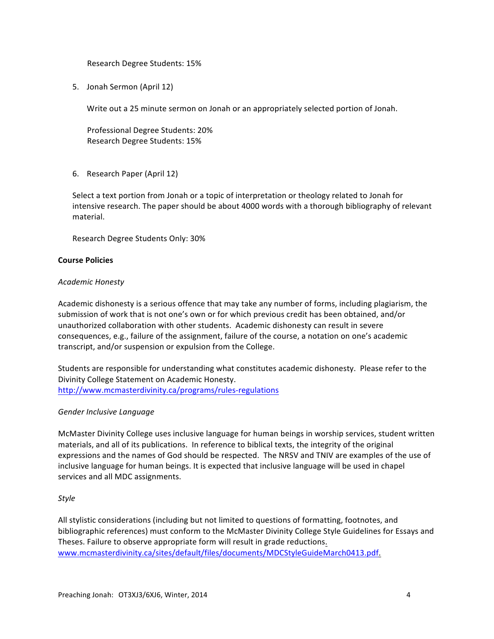Research Degree Students: 15%

5. Jonah Sermon (April 12)

Write out a 25 minute sermon on Jonah or an appropriately selected portion of Jonah.

Professional Degree Students: 20% Research Degree Students: 15%

6. Research Paper (April 12)

Select a text portion from Jonah or a topic of interpretation or theology related to Jonah for intensive research. The paper should be about 4000 words with a thorough bibliography of relevant material.

Research Degree Students Only: 30%

## **Course Policies**

## *Academic Honesty*

Academic dishonesty is a serious offence that may take any number of forms, including plagiarism, the submission of work that is not one's own or for which previous credit has been obtained, and/or unauthorized collaboration with other students. Academic dishonesty can result in severe consequences, e.g., failure of the assignment, failure of the course, a notation on one's academic transcript, and/or suspension or expulsion from the College.

Students are responsible for understanding what constitutes academic dishonesty. Please refer to the Divinity College Statement on Academic Honesty. http://www.mcmasterdivinity.ca/programs/rules-regulations

#### *Gender Inclusive Language*

McMaster Divinity College uses inclusive language for human beings in worship services, student written materials, and all of its publications. In reference to biblical texts, the integrity of the original expressions and the names of God should be respected. The NRSV and TNIV are examples of the use of inclusive language for human beings. It is expected that inclusive language will be used in chapel services and all MDC assignments.

# *Style*

All stylistic considerations (including but not limited to questions of formatting, footnotes, and bibliographic references) must conform to the McMaster Divinity College Style Guidelines for Essays and Theses. Failure to observe appropriate form will result in grade reductions. www.mcmasterdivinity.ca/sites/default/files/documents/MDCStyleGuideMarch0413.pdf.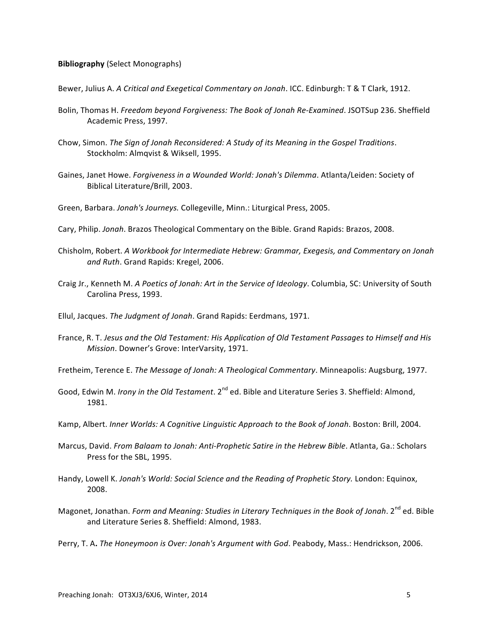#### **Bibliography** (Select Monographs)

Bewer, Julius A. *A Critical and Exegetical Commentary on Jonah*. ICC. Edinburgh: T & T Clark, 1912.

- Bolin, Thomas H. *Freedom beyond Forgiveness: The Book of Jonah Re-Examined*. JSOTSup 236. Sheffield Academic Press, 1997.
- Chow, Simon. The Sign of Jonah Reconsidered: A Study of its Meaning in the Gospel Traditions. Stockholm: Almqvist & Wiksell, 1995.
- Gaines, Janet Howe. *Forgiveness in a Wounded World: Jonah's Dilemma*. Atlanta/Leiden: Society of Biblical Literature/Brill, 2003.
- Green, Barbara. Jonah's Journeys. Collegeville, Minn.: Liturgical Press, 2005.
- Cary, Philip. Jonah. Brazos Theological Commentary on the Bible. Grand Rapids: Brazos, 2008.
- Chisholm, Robert. A Workbook for Intermediate Hebrew: Grammar, Exegesis, and Commentary on Jonah and Ruth. Grand Rapids: Kregel, 2006.
- Craig Jr., Kenneth M. *A Poetics of Jonah: Art in the Service of Ideology*. Columbia, SC: University of South Carolina Press, 1993.
- Ellul, Jacques. *The Judgment of Jonah*. Grand Rapids: Eerdmans, 1971.
- France, R. T. *Jesus and the Old Testament: His Application of Old Testament Passages to Himself and His Mission*. Downer's Grove: InterVarsity, 1971.
- Fretheim, Terence E. *The Message of Jonah: A Theological Commentary*. Minneapolis: Augsburg, 1977.
- Good, Edwin M. *Irony in the Old Testament*. 2<sup>nd</sup> ed. Bible and Literature Series 3. Sheffield: Almond, 1981.
- Kamp, Albert. *Inner Worlds: A Cognitive Linguistic Approach to the Book of Jonah. Boston: Brill, 2004.*
- Marcus, David. From Balaam to Jonah: Anti-Prophetic Satire in the Hebrew Bible. Atlanta, Ga.: Scholars Press for the SBL, 1995.
- Handy, Lowell K. Jonah's World: Social Science and the Reading of Prophetic Story. London: Equinox, 2008.
- Magonet, Jonathan. *Form and Meaning: Studies in Literary Techniques in the Book of Jonah.* 2<sup>nd</sup> ed. Bible and Literature Series 8. Sheffield: Almond, 1983.
- Perry, T. A. The Honeymoon is Over: Jonah's Argument with God. Peabody, Mass.: Hendrickson, 2006.